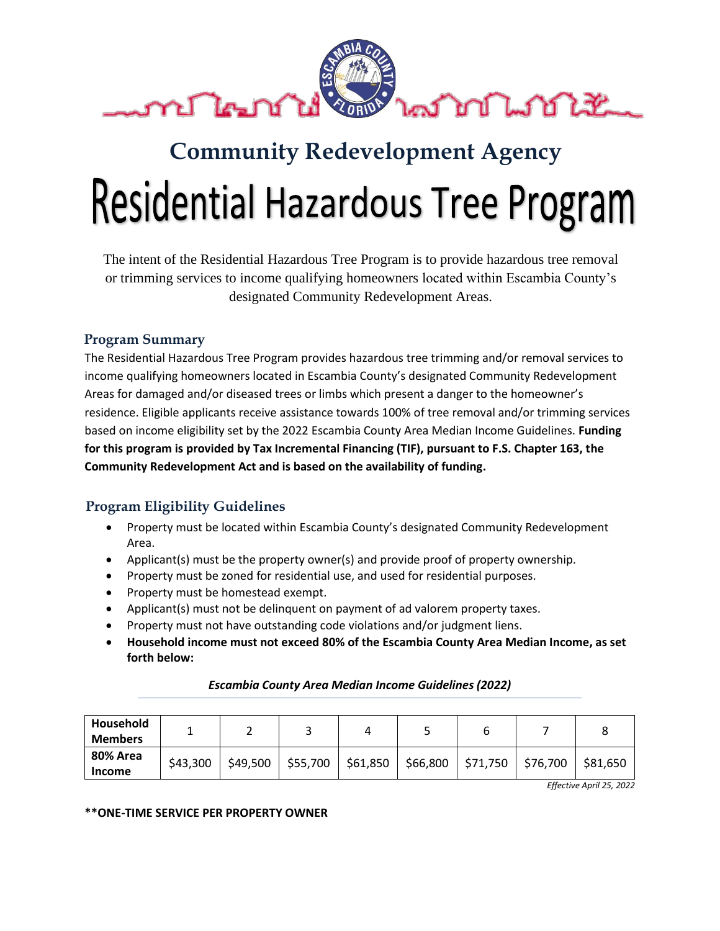

# **Community Redevelopment Agency Residential Hazardous Tree Program**

The intent of the Residential Hazardous Tree Program is to provide hazardous tree removal or trimming services to income qualifying homeowners located within Escambia County's designated Community Redevelopment Areas.

# **Program Summary**

The Residential Hazardous Tree Program provides hazardous tree trimming and/or removal services to income qualifying homeowners located in Escambia County's designated Community Redevelopment Areas for damaged and/or diseased trees or limbs which present a danger to the homeowner's residence. Eligible applicants receive assistance towards 100% of tree removal and/or trimming services based on income eligibility set by the 2022 Escambia County Area Median Income Guidelines. **Funding for this program is provided by Tax Incremental Financing (TIF), pursuant to F.S. Chapter 163, the Community Redevelopment Act and is based on the availability of funding.**

# **Program Eligibility Guidelines**

- Property must be located within Escambia County's designated Community Redevelopment Area.
- Applicant(s) must be the property owner(s) and provide proof of property ownership.
- Property must be zoned for residential use, and used for residential purposes.
- Property must be homestead exempt.
- Applicant(s) must not be delinquent on payment of ad valorem property taxes.
- Property must not have outstanding code violations and/or judgment liens.
- **Household income must not exceed 80% of the Escambia County Area Median Income, as set forth below:**

| Household<br><b>Members</b> |          |          |          |          |          |          |          |          |
|-----------------------------|----------|----------|----------|----------|----------|----------|----------|----------|
| 80% Area<br><b>Income</b>   | \$43,300 | \$49,500 | \$55,700 | \$61,850 | \$66,800 | \$71,750 | \$76,700 | \$81,650 |

### *Escambia County Area Median Income Guidelines (2022)*

*Effective April 25, 2022*

**\*\*ONE-TIME SERVICE PER PROPERTY OWNER**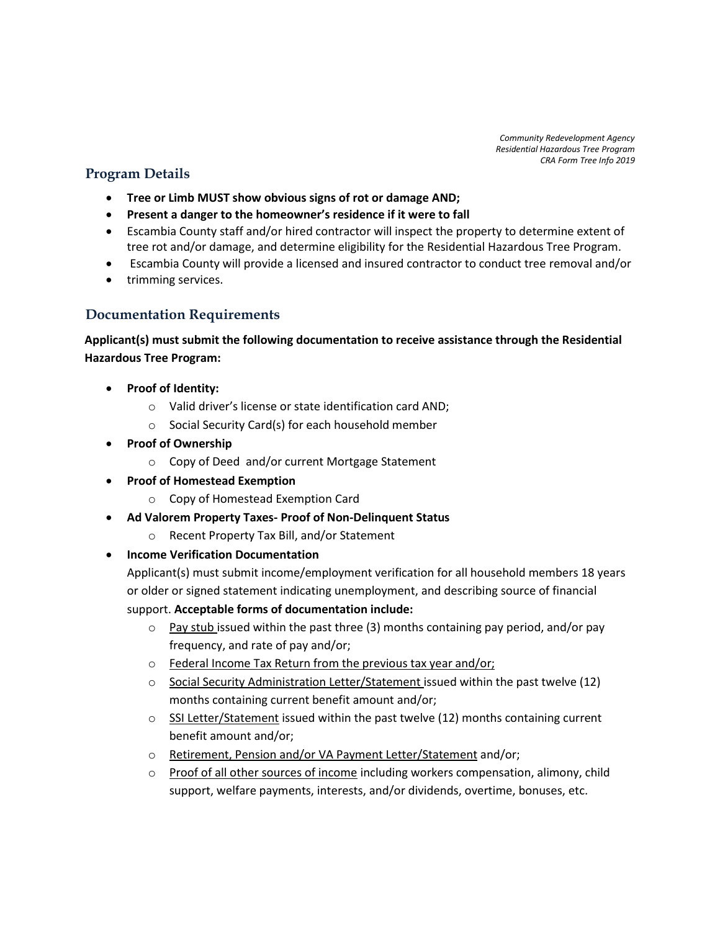*Community Redevelopment Agency Residential Hazardous Tree Program CRA Form Tree Info 2019*

## **Program Details**

- **Tree or Limb MUST show obvious signs of rot or damage AND;**
- **Present a danger to the homeowner's residence if it were to fall**
- Escambia County staff and/or hired contractor will inspect the property to determine extent of tree rot and/or damage, and determine eligibility for the Residential Hazardous Tree Program.
- Escambia County will provide a licensed and insured contractor to conduct tree removal and/or
- trimming services.

## **Documentation Requirements**

**Applicant(s) must submit the following documentation to receive assistance through the Residential Hazardous Tree Program:**

- **Proof of Identity:** 
	- o Valid driver's license or state identification card AND;
	- o Social Security Card(s) for each household member
- **Proof of Ownership**
	- o Copy of Deed and/or current Mortgage Statement
- **Proof of Homestead Exemption**
	- o Copy of Homestead Exemption Card
- **Ad Valorem Property Taxes- Proof of Non-Delinquent Status**
	- o Recent Property Tax Bill, and/or Statement
- **Income Verification Documentation**

Applicant(s) must submit income/employment verification for all household members 18 years or older or signed statement indicating unemployment, and describing source of financial support. **Acceptable forms of documentation include:**

- $\circ$  Pay stub issued within the past three (3) months containing pay period, and/or pay frequency, and rate of pay and/or;
- o Federal Income Tax Return from the previous tax year and/or;
- $\circ$  Social Security Administration Letter/Statement issued within the past twelve (12) months containing current benefit amount and/or;
- $\circ$  SSI Letter/Statement issued within the past twelve (12) months containing current benefit amount and/or;
- o Retirement, Pension and/or VA Payment Letter/Statement and/or;
- $\circ$  Proof of all other sources of income including workers compensation, alimony, child support, welfare payments, interests, and/or dividends, overtime, bonuses, etc.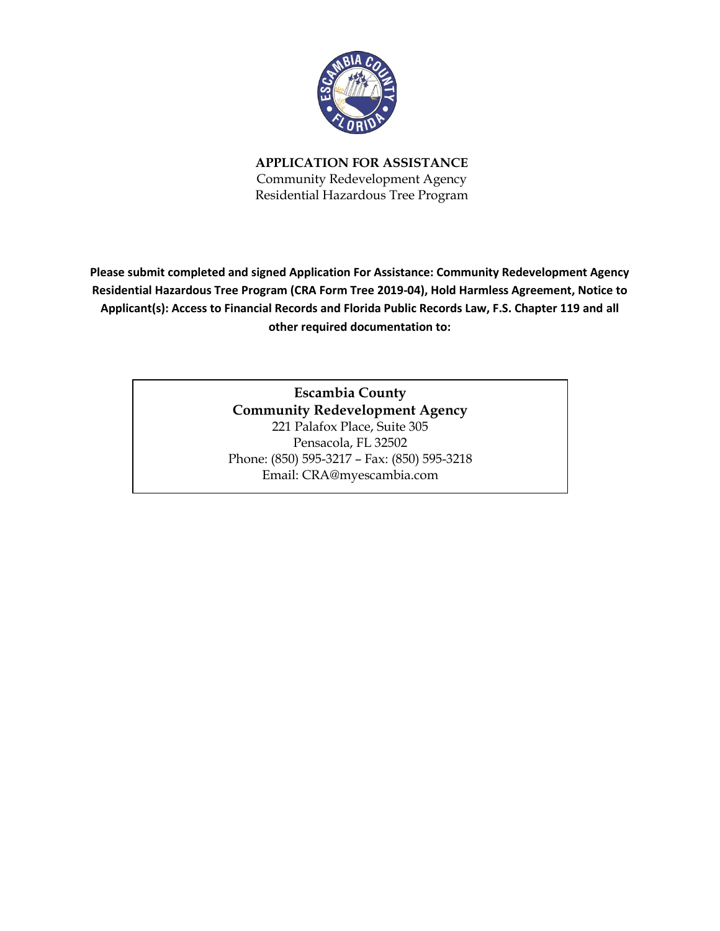

**APPLICATION FOR ASSISTANCE** Community Redevelopment Agency Residential Hazardous Tree Program

**Please submit completed and signed Application For Assistance: Community Redevelopment Agency Residential Hazardous Tree Program (CRA Form Tree 2019-04), Hold Harmless Agreement, Notice to Applicant(s): Access to Financial Records and Florida Public Records Law, F.S. Chapter 119 and all other required documentation to:**

> **Escambia County Community Redevelopment Agency** 221 Palafox Place, Suite 305 Pensacola, FL 32502 Phone: (850) 595-3217 – Fax: (850) 595-3218 Email: CRA@myescambia.com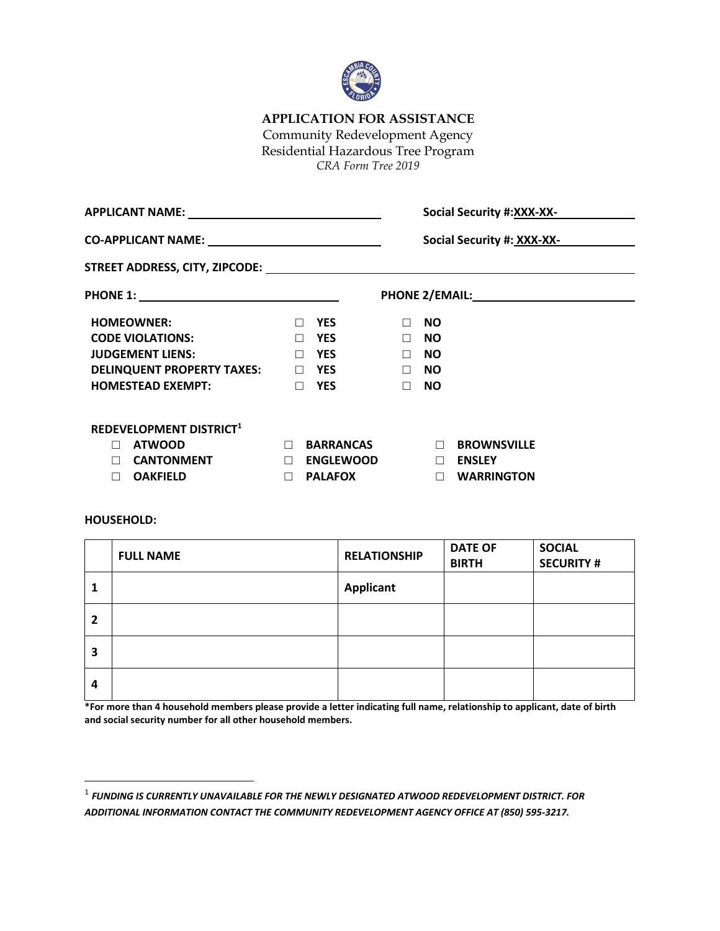

# **APPLICATION FOR ASSISTANCE**

Community Redevelopment Agency

Residential Hazardous Tree Program

*CRA Form Tree 2019*

|                                                       |                            |        | <b>Social Security #:XXX-XX-</b> |                        |  |  |  |
|-------------------------------------------------------|----------------------------|--------|----------------------------------|------------------------|--|--|--|
| CO-APPLICANT NAME: __________________________________ | Social Security #: XXX-XX- |        |                                  |                        |  |  |  |
|                                                       |                            |        |                                  |                        |  |  |  |
|                                                       |                            |        |                                  |                        |  |  |  |
| <b>HOMEOWNER:</b>                                     | <b>YES</b><br>П.           | $\Box$ | <b>NO</b>                        |                        |  |  |  |
| <b>CODE VIOLATIONS:</b>                               | $\Box$ YES                 | $\Box$ | <b>NO</b>                        |                        |  |  |  |
| <b>JUDGEMENT LIENS:</b>                               | $\Box$ YES                 | $\Box$ | <b>NO</b>                        |                        |  |  |  |
| DELINQUENT PROPERTY TAXES: 1997 YES                   |                            | $\Box$ | <b>NO</b>                        |                        |  |  |  |
| <b>HOMESTEAD EXEMPT:</b>                              | $\Box$<br><b>YES</b>       | $\Box$ | <b>NO</b>                        |                        |  |  |  |
| REDEVELOPMENT DISTRICT <sup>1</sup>                   |                            |        |                                  |                        |  |  |  |
| <b>ATWOOD</b><br>$\Box$                               | <b>BARRANCAS</b><br>$\Box$ |        |                                  | <b>END BROWNSVILLE</b> |  |  |  |
| <b>CANTONMENT</b><br>П                                | $\Box$<br><b>ENGLEWOOD</b> |        |                                  | $\Box$ ENSLEY          |  |  |  |
| <b>OAKFIELD</b><br>П                                  | $\Box$<br><b>PALAFOX</b>   |        | $\Box$                           | <b>WARRINGTON</b>      |  |  |  |

#### **HOUSEHOLD:**

|              | <b>FULL NAME</b> | <b>RELATIONSHIP</b> | <b>DATE OF</b><br><b>BIRTH</b> | <b>SOCIAL</b><br><b>SECURITY #</b> |
|--------------|------------------|---------------------|--------------------------------|------------------------------------|
| щ            |                  | <b>Applicant</b>    |                                |                                    |
| $\mathbf{2}$ |                  |                     |                                |                                    |
| 3            |                  |                     |                                |                                    |
| 4            |                  |                     |                                |                                    |

**\*For more than 4 household members please provide a letter indicating full name, relationship to applicant, date of birth and social security number for all other household members.**

<sup>1</sup> *FUNDING IS CURRENTLY UNAVAILABLE FOR THE NEWLY DESIGNATED ATWOOD REDEVELOPMENT DISTRICT. FOR ADDITIONAL INFORMATION CONTACT THE COMMUNITY REDEVELOPMENT AGENCY OFFICE AT (850) 595-3217.*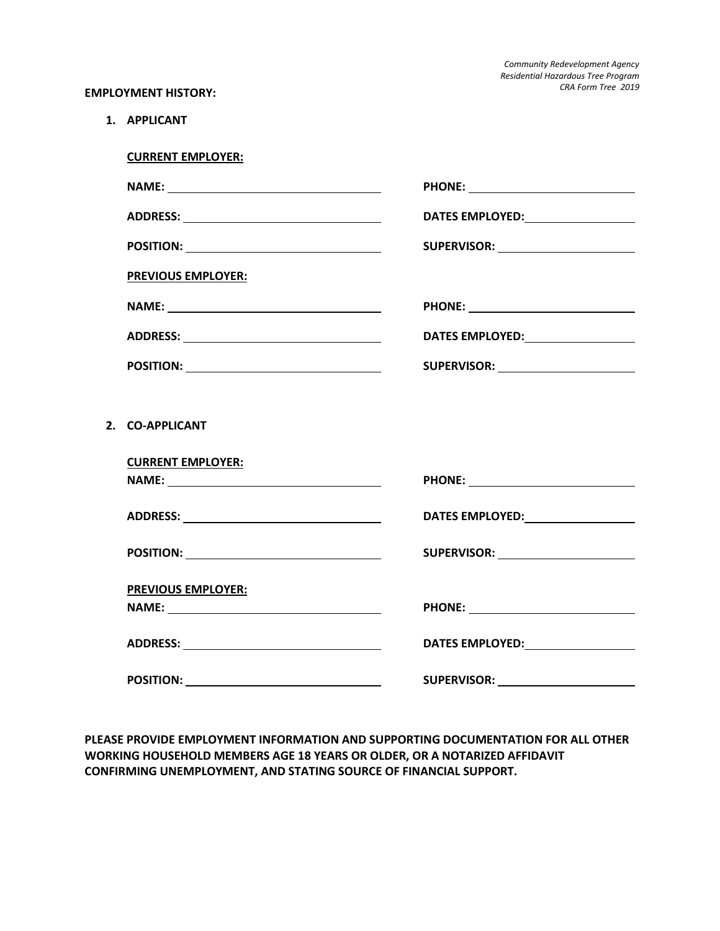*Community Redevelopment Agency Residential Hazardous Tree Program CRA Form Tree 2019*

#### **EMPLOYMENT HISTORY:**

**1. APPLICANT**

**2.** 

| <b>CURRENT EMPLOYER:</b>                      |                                           |
|-----------------------------------------------|-------------------------------------------|
|                                               |                                           |
|                                               |                                           |
| POSITION: ___________________________________ | SUPERVISOR: <u>______________________</u> |
| <b>PREVIOUS EMPLOYER:</b>                     |                                           |
| NAME:                                         |                                           |
| ADDRESS: __________________________________   | DATES EMPLOYED:__________________         |
| POSITION: _________________________________   |                                           |
|                                               |                                           |
| <b>CO-APPLICANT</b>                           |                                           |
| <b>CURRENT EMPLOYER:</b>                      |                                           |
|                                               |                                           |
|                                               |                                           |
| POSITION: _________________________________   | SUPERVISOR: <u>______________________</u> |
| PREVIOUS EMPLOYER:                            |                                           |
|                                               |                                           |
|                                               |                                           |
|                                               |                                           |

**PLEASE PROVIDE EMPLOYMENT INFORMATION AND SUPPORTING DOCUMENTATION FOR ALL OTHER WORKING HOUSEHOLD MEMBERS AGE 18 YEARS OR OLDER, OR A NOTARIZED AFFIDAVIT CONFIRMING UNEMPLOYMENT, AND STATING SOURCE OF FINANCIAL SUPPORT.**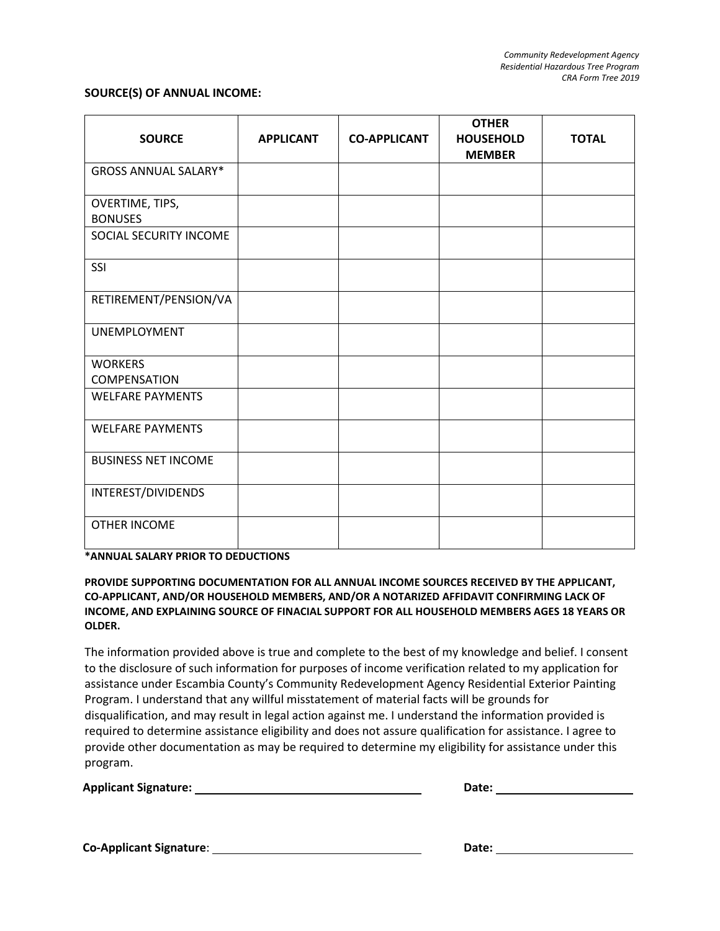#### **SOURCE(S) OF ANNUAL INCOME:**

| <b>SOURCE</b>                     | <b>APPLICANT</b> | <b>CO-APPLICANT</b> | <b>OTHER</b><br><b>HOUSEHOLD</b><br><b>MEMBER</b> | <b>TOTAL</b> |
|-----------------------------------|------------------|---------------------|---------------------------------------------------|--------------|
| <b>GROSS ANNUAL SALARY*</b>       |                  |                     |                                                   |              |
| OVERTIME, TIPS,<br><b>BONUSES</b> |                  |                     |                                                   |              |
| SOCIAL SECURITY INCOME            |                  |                     |                                                   |              |
| SSI                               |                  |                     |                                                   |              |
| RETIREMENT/PENSION/VA             |                  |                     |                                                   |              |
| <b>UNEMPLOYMENT</b>               |                  |                     |                                                   |              |
| <b>WORKERS</b><br>COMPENSATION    |                  |                     |                                                   |              |
| <b>WELFARE PAYMENTS</b>           |                  |                     |                                                   |              |
| <b>WELFARE PAYMENTS</b>           |                  |                     |                                                   |              |
| <b>BUSINESS NET INCOME</b>        |                  |                     |                                                   |              |
| INTEREST/DIVIDENDS                |                  |                     |                                                   |              |
| OTHER INCOME                      |                  |                     |                                                   |              |

**\*ANNUAL SALARY PRIOR TO DEDUCTIONS**

#### **PROVIDE SUPPORTING DOCUMENTATION FOR ALL ANNUAL INCOME SOURCES RECEIVED BY THE APPLICANT, CO-APPLICANT, AND/OR HOUSEHOLD MEMBERS, AND/OR A NOTARIZED AFFIDAVIT CONFIRMING LACK OF INCOME, AND EXPLAINING SOURCE OF FINACIAL SUPPORT FOR ALL HOUSEHOLD MEMBERS AGES 18 YEARS OR OLDER.**

The information provided above is true and complete to the best of my knowledge and belief. I consent to the disclosure of such information for purposes of income verification related to my application for assistance under Escambia County's Community Redevelopment Agency Residential Exterior Painting Program. I understand that any willful misstatement of material facts will be grounds for disqualification, and may result in legal action against me. I understand the information provided is required to determine assistance eligibility and does not assure qualification for assistance. I agree to provide other documentation as may be required to determine my eligibility for assistance under this program.

| <b>Applicant Signature:</b> | Date: |  |
|-----------------------------|-------|--|
|                             |       |  |

**Co-Applicant Signature**: **Date:**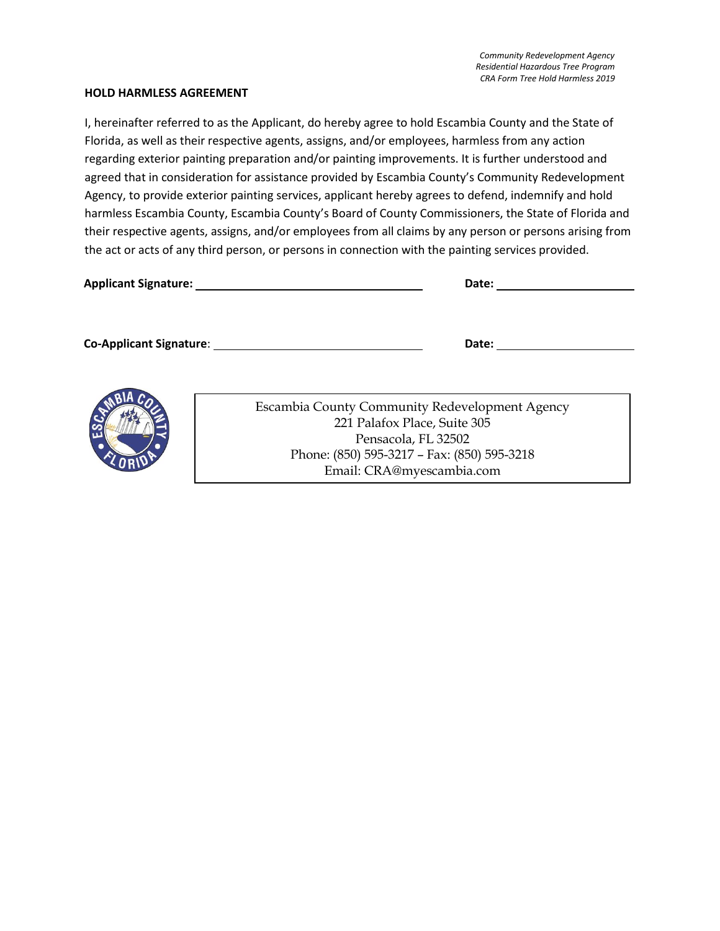#### **HOLD HARMLESS AGREEMENT**

I, hereinafter referred to as the Applicant, do hereby agree to hold Escambia County and the State of Florida, as well as their respective agents, assigns, and/or employees, harmless from any action regarding exterior painting preparation and/or painting improvements. It is further understood and agreed that in consideration for assistance provided by Escambia County's Community Redevelopment Agency, to provide exterior painting services, applicant hereby agrees to defend, indemnify and hold harmless Escambia County, Escambia County's Board of County Commissioners, the State of Florida and their respective agents, assigns, and/or employees from all claims by any person or persons arising from the act or acts of any third person, or persons in connection with the painting services provided.

| <b>Applicant Signature:</b>    | Date: |  |  |
|--------------------------------|-------|--|--|
|                                |       |  |  |
|                                |       |  |  |
| <b>Co-Applicant Signature:</b> | Date: |  |  |



Escambia County Community Redevelopment Agency 221 Palafox Place, Suite 305 Pensacola, FL 32502 Phone: (850) 595-3217 – Fax: (850) 595-3218 Email: CRA@myescambia.com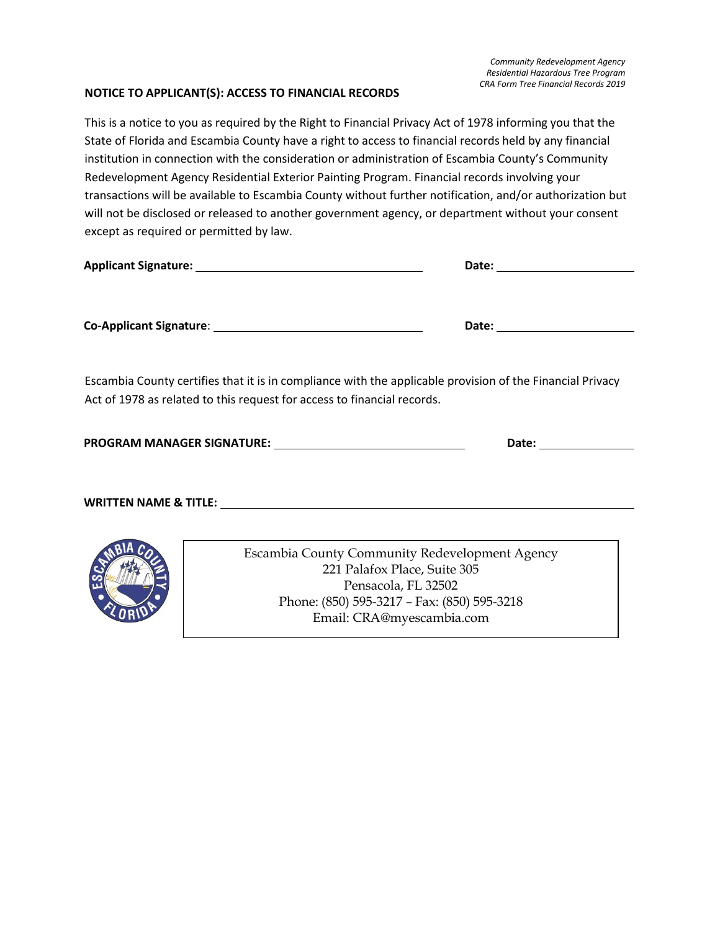#### **NOTICE TO APPLICANT(S): ACCESS TO FINANCIAL RECORDS**

This is a notice to you as required by the Right to Financial Privacy Act of 1978 informing you that the State of Florida and Escambia County have a right to access to financial records held by any financial institution in connection with the consideration or administration of Escambia County's Community Redevelopment Agency Residential Exterior Painting Program. Financial records involving your transactions will be available to Escambia County without further notification, and/or authorization but will not be disclosed or released to another government agency, or department without your consent except as required or permitted by law.

|                                                                                                                                                                                      | Date: ________________________ |
|--------------------------------------------------------------------------------------------------------------------------------------------------------------------------------------|--------------------------------|
|                                                                                                                                                                                      | Date: ________________________ |
| Escambia County certifies that it is in compliance with the applicable provision of the Financial Privacy<br>Act of 1978 as related to this request for access to financial records. |                                |
|                                                                                                                                                                                      | Date: _______________          |
|                                                                                                                                                                                      |                                |
| <u> 1989 - Johann Barn, amerikansk politiker (d. 1989)</u><br>ARIA                                                                                                                   |                                |



Escambia County Community Redevelopment Agency 221 Palafox Place, Suite 305 Pensacola, FL 32502 Phone: (850) 595-3217 – Fax: (850) 595-3218 Email: CRA@myescambia.com